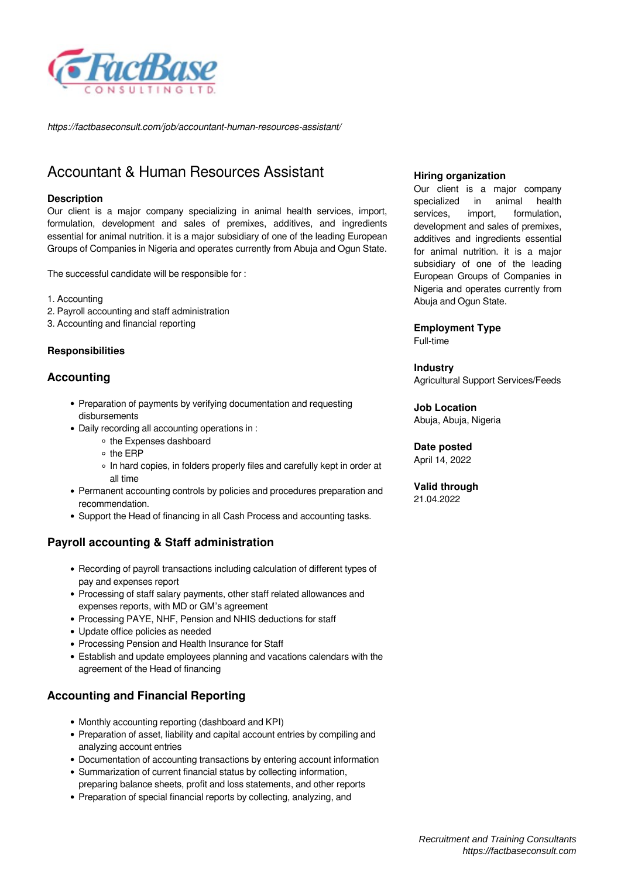

*https://factbaseconsult.com/job/accountant-human-resources-assistant/*

# Accountant & Human Resources Assistant

# **Description**

Our client is a major company specializing in animal health services, import, formulation, development and sales of premixes, additives, and ingredients essential for animal nutrition. it is a major subsidiary of one of the leading European Groups of Companies in Nigeria and operates currently from Abuja and Ogun State.

The successful candidate will be responsible for :

- 1. Accounting
- 2. Payroll accounting and staff administration
- 3. Accounting and financial reporting

# **Responsibilities**

# **Accounting**

- Preparation of payments by verifying documentation and requesting disbursements
- Daily recording all accounting operations in :
	- the Expenses dashboard
	- o the FRP
	- In hard copies, in folders properly files and carefully kept in order at all time
- Permanent accounting controls by policies and procedures preparation and recommendation.
- Support the Head of financing in all Cash Process and accounting tasks.

# **Payroll accounting & Staff administration**

- Recording of payroll transactions including calculation of different types of pay and expenses report
- Processing of staff salary payments, other staff related allowances and expenses reports, with MD or GM's agreement
- Processing PAYE, NHF, Pension and NHIS deductions for staff
- Update office policies as needed
- Processing Pension and Health Insurance for Staff
- Establish and update employees planning and vacations calendars with the agreement of the Head of financing

# **Accounting and Financial Reporting**

- Monthly accounting reporting (dashboard and KPI)
- Preparation of asset, liability and capital account entries by compiling and analyzing account entries
- Documentation of accounting transactions by entering account information
- Summarization of current financial status by collecting information, preparing balance sheets, profit and loss statements, and other reports
- Preparation of special financial reports by collecting, analyzing, and

#### **Hiring organization**

Our client is a major company specialized in animal health services, import, formulation, development and sales of premixes, additives and ingredients essential for animal nutrition. it is a major subsidiary of one of the leading European Groups of Companies in Nigeria and operates currently from Abuja and Ogun State.

#### **Employment Type**

Full-time

### **Industry**

Agricultural Support Services/Feeds

**Job Location** Abuja, Abuja, Nigeria

# **Date posted**

April 14, 2022

#### **Valid through** 21.04.2022